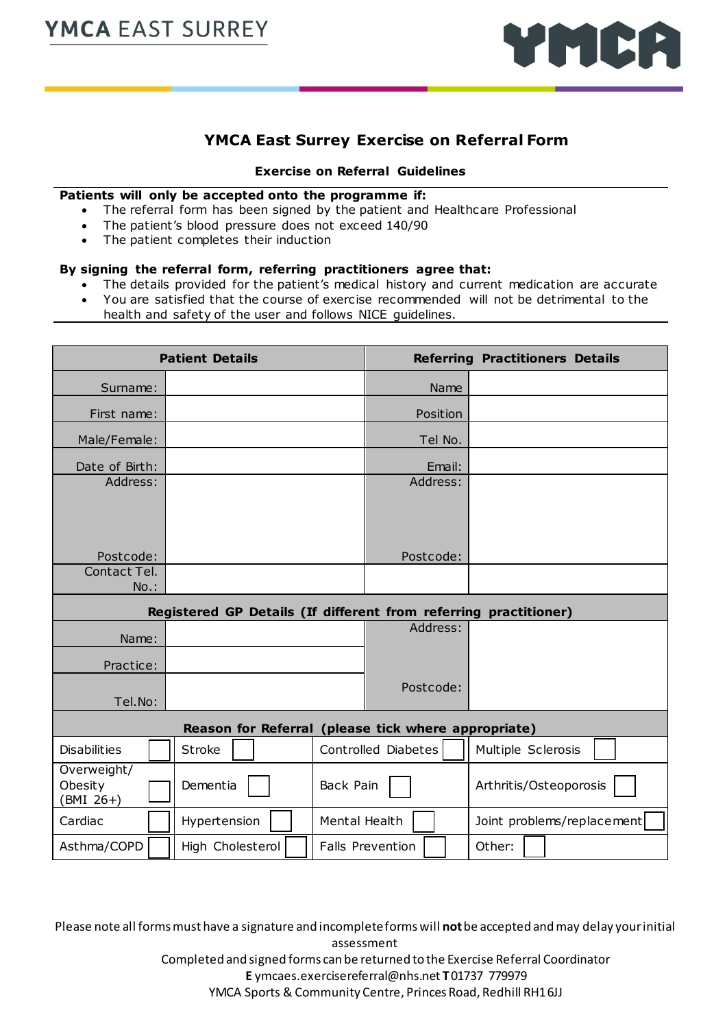

## **YMCA East Surrey Exercise on Referral Form**

#### **Exercise on Referral Guidelines**

#### **Patients will only be accepted onto the programme if:**

- The referral form has been signed by the patient and Healthcare Professional
- The patient's blood pressure does not exceed 140/90
- The patient completes their induction

### **By signing the referral form, referring practitioners agree that:**

- The details provided for the patient's medical history and current medication are accurate
- You are satisfied that the course of exercise recommended will not be detrimental to the health and safety of the user and follows NICE guidelines.

|                                                                  | <b>Patient Details</b> | <b>Referring Practitioners Details</b> |                         |                            |  |  |  |  |  |  |
|------------------------------------------------------------------|------------------------|----------------------------------------|-------------------------|----------------------------|--|--|--|--|--|--|
| Surname:                                                         |                        |                                        | Name                    |                            |  |  |  |  |  |  |
| First name:                                                      |                        |                                        | Position                |                            |  |  |  |  |  |  |
| Male/Female:                                                     |                        |                                        | Tel No.                 |                            |  |  |  |  |  |  |
| Date of Birth:                                                   |                        |                                        | Email:                  |                            |  |  |  |  |  |  |
| Address:                                                         |                        |                                        | Address:                |                            |  |  |  |  |  |  |
|                                                                  |                        |                                        |                         |                            |  |  |  |  |  |  |
|                                                                  |                        |                                        |                         |                            |  |  |  |  |  |  |
| Postcode:                                                        |                        |                                        | Postcode:               |                            |  |  |  |  |  |  |
| Contact Tel.                                                     |                        |                                        |                         |                            |  |  |  |  |  |  |
| $No.$ :                                                          |                        |                                        |                         |                            |  |  |  |  |  |  |
| Registered GP Details (If different from referring practitioner) |                        |                                        |                         |                            |  |  |  |  |  |  |
| Name:                                                            |                        |                                        | Address:                |                            |  |  |  |  |  |  |
| Practice:                                                        |                        |                                        |                         |                            |  |  |  |  |  |  |
|                                                                  |                        |                                        | Postcode:               |                            |  |  |  |  |  |  |
| Tel.No:                                                          |                        |                                        |                         |                            |  |  |  |  |  |  |
| Reason for Referral (please tick where appropriate)              |                        |                                        |                         |                            |  |  |  |  |  |  |
| <b>Disabilities</b>                                              | <b>Stroke</b>          |                                        | Controlled Diabetes     | Multiple Sclerosis         |  |  |  |  |  |  |
| Overweight/<br>Obesity<br>BMI 26+)                               | Dementia               | Back Pain                              |                         | Arthritis/Osteoporosis     |  |  |  |  |  |  |
| Cardiac                                                          | Hypertension           | Mental Health                          |                         | Joint problems/replacement |  |  |  |  |  |  |
| Asthma/COPD                                                      | High Cholesterol       |                                        | <b>Falls Prevention</b> | Other:                     |  |  |  |  |  |  |

Please note all forms must have a signature and incomplete forms will **not**be accepted and may delay your initial assessment

Completed and signed forms can be returned to the Exercise Referral Coordinator

**E** ymcaes.exercisereferral@nhs.net **T** 01737 779979 YMCA Sports & Community Centre, Princes Road, Redhill RH1 6JJ